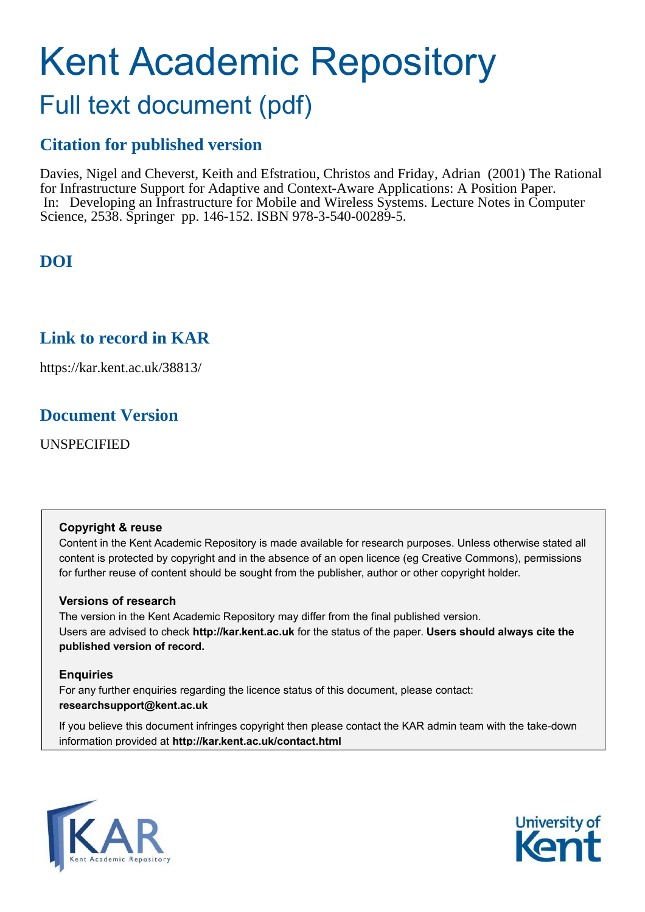# Kent Academic Repository

## Full text document (pdf)

## **Citation for published version**

Davies, Nigel and Cheverst, Keith and Efstratiou, Christos and Friday, Adrian (2001) The Rational for Infrastructure Support for Adaptive and Context-Aware Applications: A Position Paper. In: Developing an Infrastructure for Mobile and Wireless Systems. Lecture Notes in Computer Science, 2538. Springer pp. 146-152. ISBN 978-3-540-00289-5.

## **DOI**

## **Link to record in KAR**

https://kar.kent.ac.uk/38813/

### **Document Version**

UNSPECIFIED

#### **Copyright & reuse**

Content in the Kent Academic Repository is made available for research purposes. Unless otherwise stated all content is protected by copyright and in the absence of an open licence (eg Creative Commons), permissions for further reuse of content should be sought from the publisher, author or other copyright holder.

#### **Versions of research**

The version in the Kent Academic Repository may differ from the final published version. Users are advised to check **http://kar.kent.ac.uk** for the status of the paper. **Users should always cite the published version of record.**

#### **Enquiries**

For any further enquiries regarding the licence status of this document, please contact: **researchsupport@kent.ac.uk**

If you believe this document infringes copyright then please contact the KAR admin team with the take-down information provided at **http://kar.kent.ac.uk/contact.html**



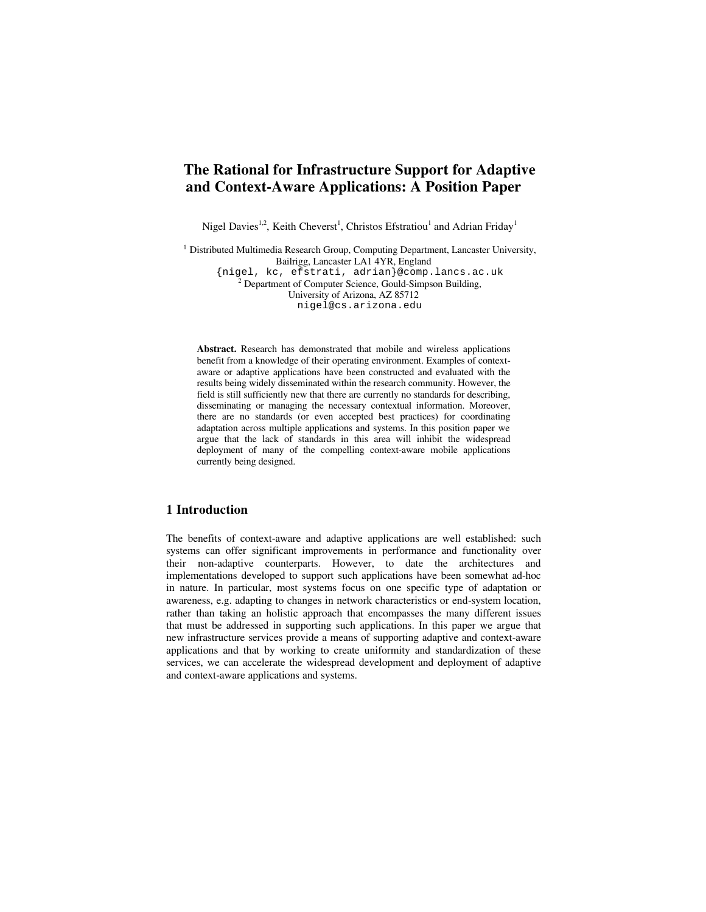#### **The Rational for Infrastructure Support for Adaptive and Context-Aware Applications: A Position Paper**

Nigel Davies<sup>1,2</sup>, Keith Cheverst<sup>1</sup>, Christos Efstratiou<sup>1</sup> and Adrian Friday<sup>1</sup>

<sup>1</sup> Distributed Multimedia Research Group, Computing Department, Lancaster University, Bailrigg, Lancaster LA1 4YR, England {nigel, kc, efstrati, adrian}@comp.lancs.ac.uk <sup>2</sup> Department of Computer Science, Gould-Simpson Building, University of Arizona, AZ 85712

nigel@cs.arizona.edu

**Abstract.** Research has demonstrated that mobile and wireless applications benefit from a knowledge of their operating environment. Examples of contextaware or adaptive applications have been constructed and evaluated with the results being widely disseminated within the research community. However, the field is still sufficiently new that there are currently no standards for describing, disseminating or managing the necessary contextual information. Moreover, there are no standards (or even accepted best practices) for coordinating adaptation across multiple applications and systems. In this position paper we argue that the lack of standards in this area will inhibit the widespread deployment of many of the compelling context-aware mobile applications currently being designed.

#### **1 Introduction**

The benefits of context-aware and adaptive applications are well established: such systems can offer significant improvements in performance and functionality over their non-adaptive counterparts. However, to date the architectures and implementations developed to support such applications have been somewhat ad-hoc in nature. In particular, most systems focus on one specific type of adaptation or awareness, e.g. adapting to changes in network characteristics or end-system location, rather than taking an holistic approach that encompasses the many different issues that must be addressed in supporting such applications. In this paper we argue that new infrastructure services provide a means of supporting adaptive and context-aware applications and that by working to create uniformity and standardization of these services, we can accelerate the widespread development and deployment of adaptive and context-aware applications and systems.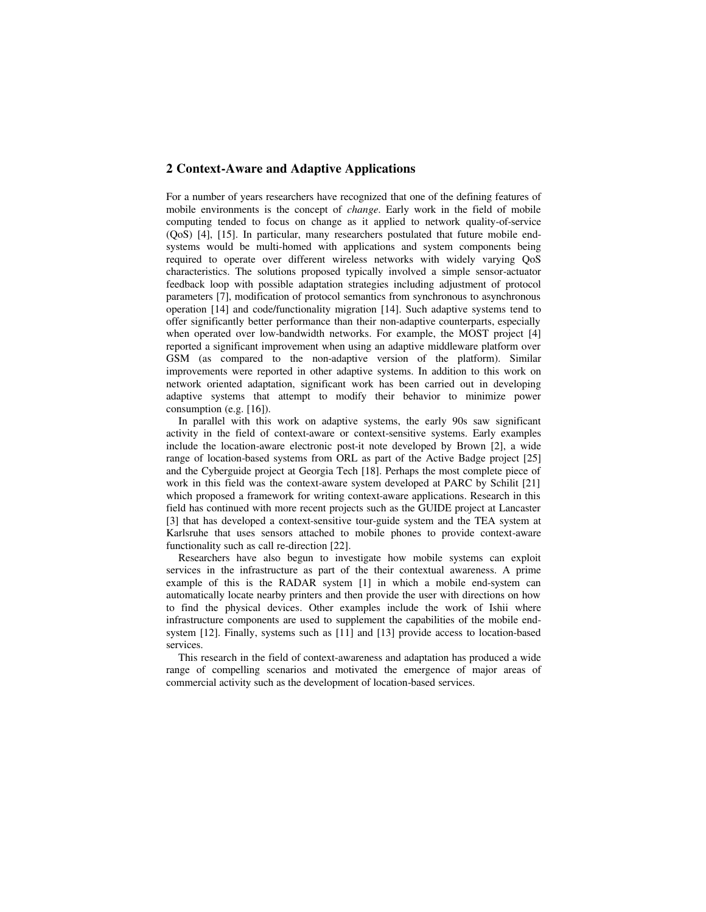#### **2 Context-Aware and Adaptive Applications**

For a number of years researchers have recognized that one of the defining features of mobile environments is the concept of *change*. Early work in the field of mobile computing tended to focus on change as it applied to network quality-of-service (QoS) [4], [15]. In particular, many researchers postulated that future mobile endsystems would be multi-homed with applications and system components being required to operate over different wireless networks with widely varying QoS characteristics. The solutions proposed typically involved a simple sensor-actuator feedback loop with possible adaptation strategies including adjustment of protocol parameters [7], modification of protocol semantics from synchronous to asynchronous operation [14] and code/functionality migration [14]. Such adaptive systems tend to offer significantly better performance than their non-adaptive counterparts, especially when operated over low-bandwidth networks. For example, the MOST project [4] reported a significant improvement when using an adaptive middleware platform over GSM (as compared to the non-adaptive version of the platform). Similar improvements were reported in other adaptive systems. In addition to this work on network oriented adaptation, significant work has been carried out in developing adaptive systems that attempt to modify their behavior to minimize power consumption (e.g. [16]).

In parallel with this work on adaptive systems, the early 90s saw significant activity in the field of context-aware or context-sensitive systems. Early examples include the location-aware electronic post-it note developed by Brown [2], a wide range of location-based systems from ORL as part of the Active Badge project [25] and the Cyberguide project at Georgia Tech [18]. Perhaps the most complete piece of work in this field was the context-aware system developed at PARC by Schilit [21] which proposed a framework for writing context-aware applications. Research in this field has continued with more recent projects such as the GUIDE project at Lancaster [3] that has developed a context-sensitive tour-guide system and the TEA system at Karlsruhe that uses sensors attached to mobile phones to provide context-aware functionality such as call re-direction [22].

Researchers have also begun to investigate how mobile systems can exploit services in the infrastructure as part of the their contextual awareness. A prime example of this is the RADAR system [1] in which a mobile end-system can automatically locate nearby printers and then provide the user with directions on how to find the physical devices. Other examples include the work of Ishii where infrastructure components are used to supplement the capabilities of the mobile endsystem [12]. Finally, systems such as [11] and [13] provide access to location-based services.

This research in the field of context-awareness and adaptation has produced a wide range of compelling scenarios and motivated the emergence of major areas of commercial activity such as the development of location-based services.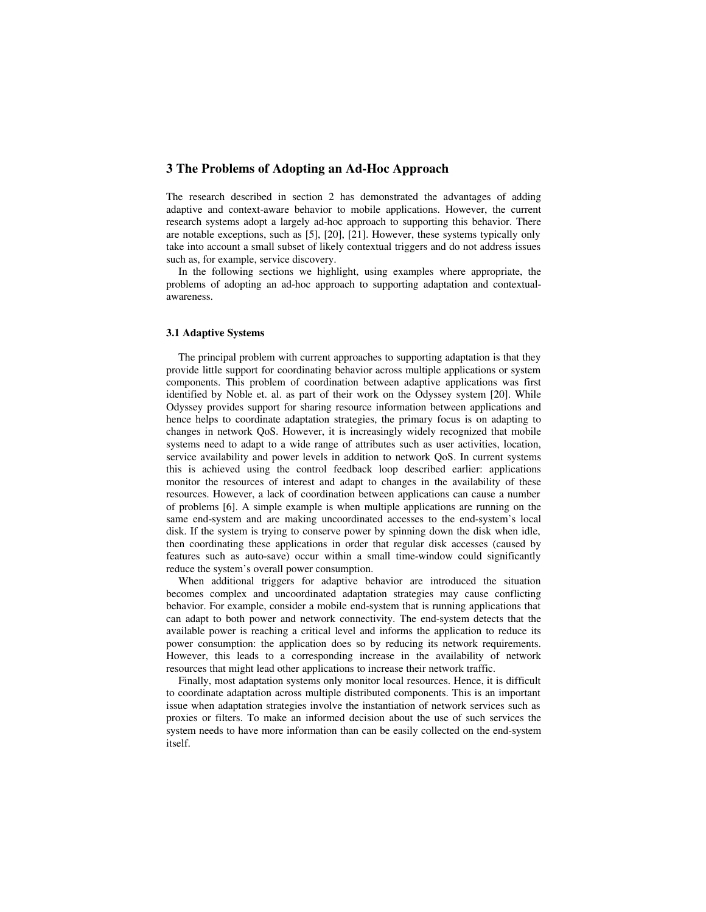#### **3 The Problems of Adopting an Ad-Hoc Approach**

The research described in section 2 has demonstrated the advantages of adding adaptive and context-aware behavior to mobile applications. However, the current research systems adopt a largely ad-hoc approach to supporting this behavior. There are notable exceptions, such as [5], [20], [21]. However, these systems typically only take into account a small subset of likely contextual triggers and do not address issues such as, for example, service discovery.

In the following sections we highlight, using examples where appropriate, the problems of adopting an ad-hoc approach to supporting adaptation and contextualawareness.

#### **3.1 Adaptive Systems**

The principal problem with current approaches to supporting adaptation is that they provide little support for coordinating behavior across multiple applications or system components. This problem of coordination between adaptive applications was first identified by Noble et. al. as part of their work on the Odyssey system [20]. While Odyssey provides support for sharing resource information between applications and hence helps to coordinate adaptation strategies, the primary focus is on adapting to changes in network QoS. However, it is increasingly widely recognized that mobile systems need to adapt to a wide range of attributes such as user activities, location, service availability and power levels in addition to network QoS. In current systems this is achieved using the control feedback loop described earlier: applications monitor the resources of interest and adapt to changes in the availability of these resources. However, a lack of coordination between applications can cause a number of problems [6]. A simple example is when multiple applications are running on the same end-system and are making uncoordinated accesses to the end-system's local disk. If the system is trying to conserve power by spinning down the disk when idle, then coordinating these applications in order that regular disk accesses (caused by features such as auto-save) occur within a small time-window could significantly reduce the system's overall power consumption.

When additional triggers for adaptive behavior are introduced the situation becomes complex and uncoordinated adaptation strategies may cause conflicting behavior. For example, consider a mobile end-system that is running applications that can adapt to both power and network connectivity. The end-system detects that the available power is reaching a critical level and informs the application to reduce its power consumption: the application does so by reducing its network requirements. However, this leads to a corresponding increase in the availability of network resources that might lead other applications to increase their network traffic.

Finally, most adaptation systems only monitor local resources. Hence, it is difficult to coordinate adaptation across multiple distributed components. This is an important issue when adaptation strategies involve the instantiation of network services such as proxies or filters. To make an informed decision about the use of such services the system needs to have more information than can be easily collected on the end-system itself.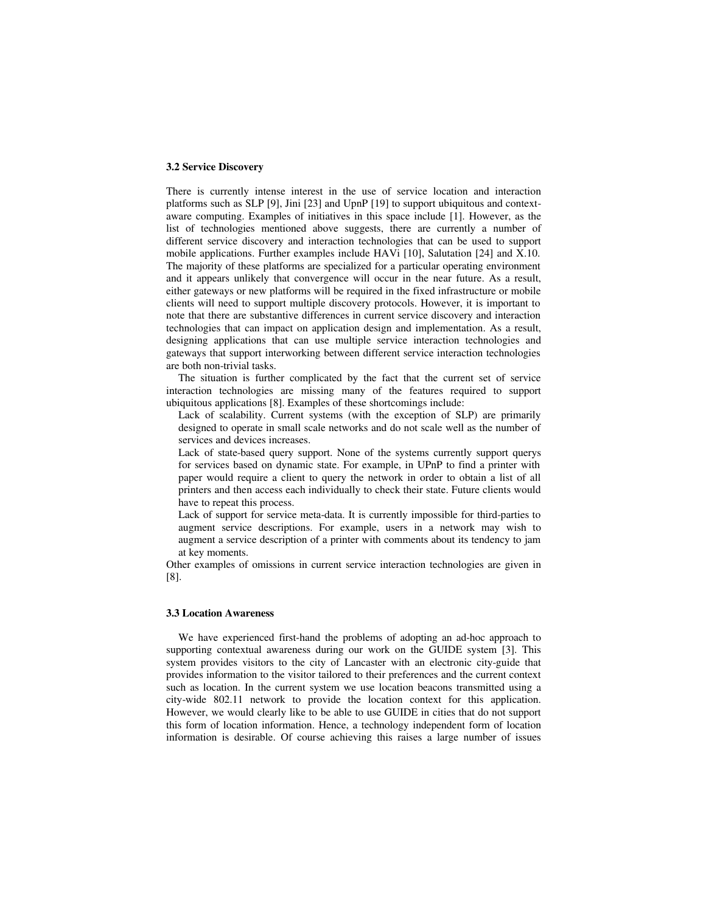#### **3.2 Service Discovery**

There is currently intense interest in the use of service location and interaction platforms such as SLP [9], Jini [23] and UpnP [19] to support ubiquitous and contextaware computing. Examples of initiatives in this space include [1]. However, as the list of technologies mentioned above suggests, there are currently a number of different service discovery and interaction technologies that can be used to support mobile applications. Further examples include HAVi [10], Salutation [24] and X.10. The majority of these platforms are specialized for a particular operating environment and it appears unlikely that convergence will occur in the near future. As a result, either gateways or new platforms will be required in the fixed infrastructure or mobile clients will need to support multiple discovery protocols. However, it is important to note that there are substantive differences in current service discovery and interaction technologies that can impact on application design and implementation. As a result, designing applications that can use multiple service interaction technologies and gateways that support interworking between different service interaction technologies are both non-trivial tasks.

The situation is further complicated by the fact that the current set of service interaction technologies are missing many of the features required to support ubiquitous applications [8]. Examples of these shortcomings include:

Lack of scalability. Current systems (with the exception of SLP) are primarily designed to operate in small scale networks and do not scale well as the number of services and devices increases.

Lack of state-based query support. None of the systems currently support querys for services based on dynamic state. For example, in UPnP to find a printer with paper would require a client to query the network in order to obtain a list of all printers and then access each individually to check their state. Future clients would have to repeat this process.

Lack of support for service meta-data. It is currently impossible for third-parties to augment service descriptions. For example, users in a network may wish to augment a service description of a printer with comments about its tendency to jam at key moments.

Other examples of omissions in current service interaction technologies are given in [8].

#### **3.3 Location Awareness**

We have experienced first-hand the problems of adopting an ad-hoc approach to supporting contextual awareness during our work on the GUIDE system [3]. This system provides visitors to the city of Lancaster with an electronic city-guide that provides information to the visitor tailored to their preferences and the current context such as location. In the current system we use location beacons transmitted using a city-wide 802.11 network to provide the location context for this application. However, we would clearly like to be able to use GUIDE in cities that do not support this form of location information. Hence, a technology independent form of location information is desirable. Of course achieving this raises a large number of issues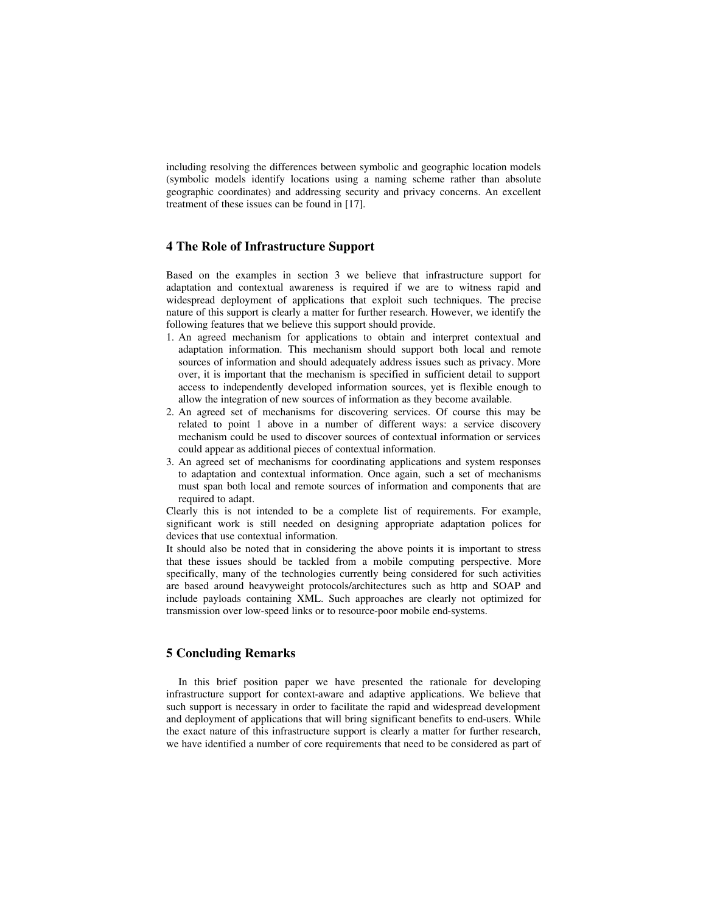including resolving the differences between symbolic and geographic location models (symbolic models identify locations using a naming scheme rather than absolute geographic coordinates) and addressing security and privacy concerns. An excellent treatment of these issues can be found in [17].

#### **4 The Role of Infrastructure Support**

Based on the examples in section 3 we believe that infrastructure support for adaptation and contextual awareness is required if we are to witness rapid and widespread deployment of applications that exploit such techniques. The precise nature of this support is clearly a matter for further research. However, we identify the following features that we believe this support should provide.

- 1. An agreed mechanism for applications to obtain and interpret contextual and adaptation information. This mechanism should support both local and remote sources of information and should adequately address issues such as privacy. More over, it is important that the mechanism is specified in sufficient detail to support access to independently developed information sources, yet is flexible enough to allow the integration of new sources of information as they become available.
- 2. An agreed set of mechanisms for discovering services. Of course this may be related to point 1 above in a number of different ways: a service discovery mechanism could be used to discover sources of contextual information or services could appear as additional pieces of contextual information.
- 3. An agreed set of mechanisms for coordinating applications and system responses to adaptation and contextual information. Once again, such a set of mechanisms must span both local and remote sources of information and components that are required to adapt.

Clearly this is not intended to be a complete list of requirements. For example, significant work is still needed on designing appropriate adaptation polices for devices that use contextual information.

It should also be noted that in considering the above points it is important to stress that these issues should be tackled from a mobile computing perspective. More specifically, many of the technologies currently being considered for such activities are based around heavyweight protocols/architectures such as http and SOAP and include payloads containing XML. Such approaches are clearly not optimized for transmission over low-speed links or to resource-poor mobile end-systems.

#### **5 Concluding Remarks**

In this brief position paper we have presented the rationale for developing infrastructure support for context-aware and adaptive applications. We believe that such support is necessary in order to facilitate the rapid and widespread development and deployment of applications that will bring significant benefits to end-users. While the exact nature of this infrastructure support is clearly a matter for further research, we have identified a number of core requirements that need to be considered as part of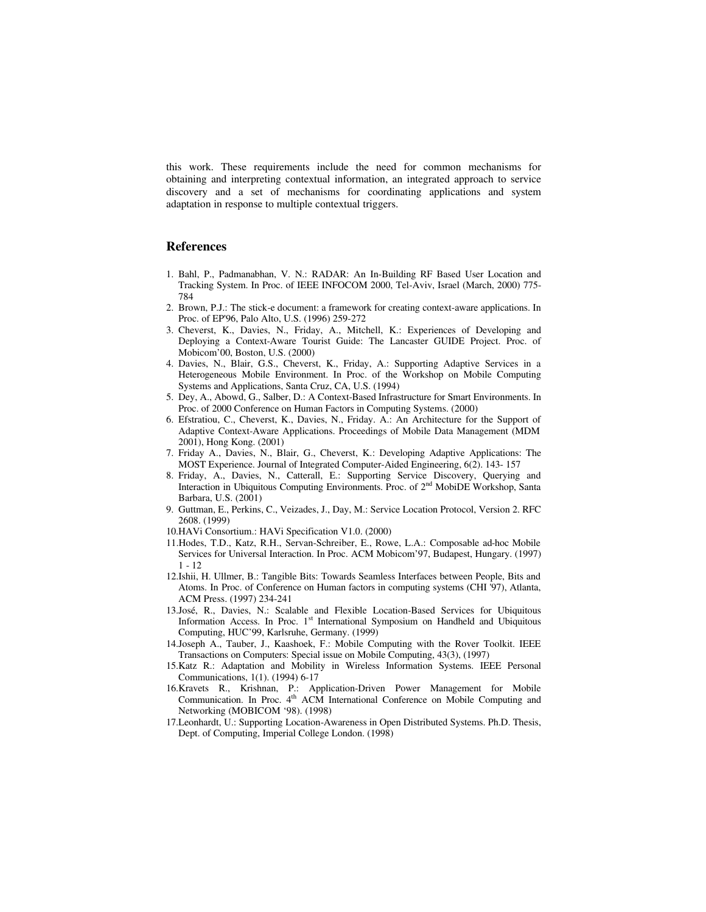this work. These requirements include the need for common mechanisms for obtaining and interpreting contextual information, an integrated approach to service discovery and a set of mechanisms for coordinating applications and system adaptation in response to multiple contextual triggers.

#### **References**

- 1. Bahl, P., Padmanabhan, V. N.: RADAR: An In-Building RF Based User Location and Tracking System. In Proc. of IEEE INFOCOM 2000, Tel-Aviv, Israel (March, 2000) 775- 784
- 2. Brown, P.J.: The stick-e document: a framework for creating context-aware applications. In Proc. of EP'96, Palo Alto, U.S. (1996) 259-272
- 3. Cheverst, K., Davies, N., Friday, A., Mitchell, K.: Experiences of Developing and Deploying a Context-Aware Tourist Guide: The Lancaster GUIDE Project. Proc. of Mobicom'00, Boston, U.S. (2000)
- 4. Davies, N., Blair, G.S., Cheverst, K., Friday, A.: Supporting Adaptive Services in a Heterogeneous Mobile Environment. In Proc. of the Workshop on Mobile Computing Systems and Applications, Santa Cruz, CA, U.S. (1994)
- 5. Dey, A., Abowd, G., Salber, D.: A Context-Based Infrastructure for Smart Environments. In Proc. of 2000 Conference on Human Factors in Computing Systems. (2000)
- 6. Efstratiou, C., Cheverst, K., Davies, N., Friday. A.: An Architecture for the Support of Adaptive Context-Aware Applications. Proceedings of Mobile Data Management (MDM 2001), Hong Kong. (2001)
- 7. Friday A., Davies, N., Blair, G., Cheverst, K.: Developing Adaptive Applications: The MOST Experience. Journal of Integrated Computer-Aided Engineering, 6(2). 143- 157
- 8. Friday, A., Davies, N., Catterall, E.: Supporting Service Discovery, Querying and Interaction in Ubiquitous Computing Environments. Proc. of 2nd MobiDE Workshop, Santa Barbara, U.S. (2001)
- 9. Guttman, E., Perkins, C., Veizades, J., Day, M.: Service Location Protocol, Version 2. RFC 2608. (1999)
- 10.HAVi Consortium.: HAVi Specification V1.0. (2000)
- 11.Hodes, T.D., Katz, R.H., Servan-Schreiber, E., Rowe, L.A.: Composable ad-hoc Mobile Services for Universal Interaction. In Proc. ACM Mobicom'97, Budapest, Hungary. (1997) 1 - 12
- 12.Ishii, H. Ullmer, B.: Tangible Bits: Towards Seamless Interfaces between People, Bits and Atoms. In Proc. of Conference on Human factors in computing systems (CHI '97), Atlanta, ACM Press. (1997) 234-241
- 13.José, R., Davies, N.: Scalable and Flexible Location-Based Services for Ubiquitous Information Access. In Proc. 1<sup>st</sup> International Symposium on Handheld and Ubiquitous Computing, HUC'99, Karlsruhe, Germany. (1999)
- 14.Joseph A., Tauber, J., Kaashoek, F.: Mobile Computing with the Rover Toolkit. IEEE Transactions on Computers: Special issue on Mobile Computing, 43(3), (1997)
- 15.Katz R.: Adaptation and Mobility in Wireless Information Systems. IEEE Personal Communications, 1(1). (1994) 6-17
- 16.Kravets R., Krishnan, P.: Application-Driven Power Management for Mobile Communication. In Proc. 4<sup>th</sup> ACM International Conference on Mobile Computing and Networking (MOBICOM '98). (1998)
- 17.Leonhardt, U.: Supporting Location-Awareness in Open Distributed Systems. Ph.D. Thesis, Dept. of Computing, Imperial College London. (1998)